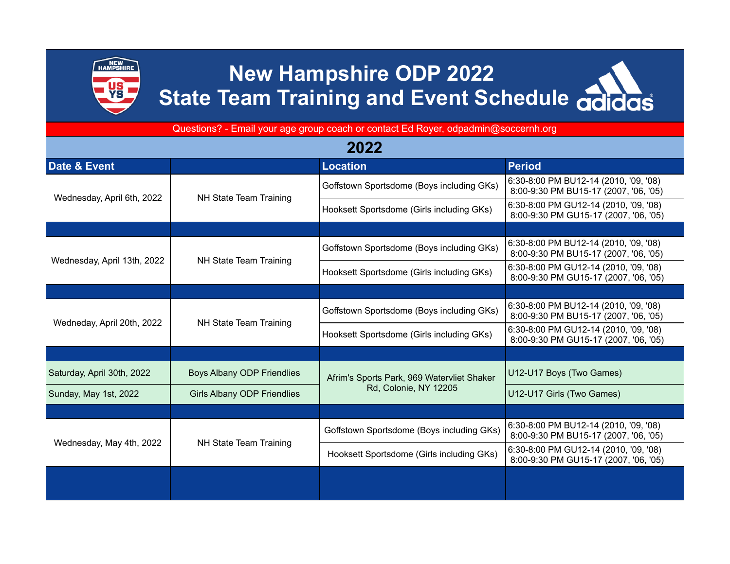

## **New Hampshire ODP 2022 State Team Training and Event Schedule adidas**

Questions? - Email your age group coach or contact Ed Royer, odpadmin@soccernh.org

| 2022                        |                                    |                                                                     |                                                                                |  |  |
|-----------------------------|------------------------------------|---------------------------------------------------------------------|--------------------------------------------------------------------------------|--|--|
| Date & Event                |                                    | <b>Location</b>                                                     | <b>Period</b>                                                                  |  |  |
| Wednesday, April 6th, 2022  | NH State Team Training             | Goffstown Sportsdome (Boys including GKs)                           | 6:30-8:00 PM BU12-14 (2010, '09, '08)<br>8:00-9:30 PM BU15-17 (2007, '06, '05) |  |  |
|                             |                                    | Hooksett Sportsdome (Girls including GKs)                           | 6:30-8:00 PM GU12-14 (2010, '09, '08)<br>8:00-9:30 PM GU15-17 (2007, '06, '05) |  |  |
|                             |                                    |                                                                     |                                                                                |  |  |
| Wednesday, April 13th, 2022 | NH State Team Training             | Goffstown Sportsdome (Boys including GKs)                           | 6:30-8:00 PM BU12-14 (2010, '09, '08)<br>8:00-9:30 PM BU15-17 (2007, '06, '05) |  |  |
|                             |                                    | Hooksett Sportsdome (Girls including GKs)                           | 6:30-8:00 PM GU12-14 (2010, '09, '08)<br>8:00-9:30 PM GU15-17 (2007, '06, '05) |  |  |
|                             |                                    |                                                                     |                                                                                |  |  |
| Wedneday, April 20th, 2022  | NH State Team Training             | Goffstown Sportsdome (Boys including GKs)                           | 6:30-8:00 PM BU12-14 (2010, '09, '08)<br>8:00-9:30 PM BU15-17 (2007, '06, '05) |  |  |
|                             |                                    | Hooksett Sportsdome (Girls including GKs)                           | 6:30-8:00 PM GU12-14 (2010, '09, '08)<br>8:00-9:30 PM GU15-17 (2007, '06, '05) |  |  |
|                             |                                    |                                                                     |                                                                                |  |  |
| Saturday, April 30th, 2022  | Boys Albany ODP Friendlies         | Afrim's Sports Park, 969 Watervliet Shaker<br>Rd, Colonie, NY 12205 | U12-U17 Boys (Two Games)                                                       |  |  |
| Sunday, May 1st, 2022       | <b>Girls Albany ODP Friendlies</b> |                                                                     | U12-U17 Girls (Two Games)                                                      |  |  |
|                             |                                    |                                                                     |                                                                                |  |  |
| Wednesday, May 4th, 2022    | NH State Team Training             | Goffstown Sportsdome (Boys including GKs)                           | 6:30-8:00 PM BU12-14 (2010, '09, '08)<br>8:00-9:30 PM BU15-17 (2007, '06, '05) |  |  |
|                             |                                    | Hooksett Sportsdome (Girls including GKs)                           | 6:30-8:00 PM GU12-14 (2010, '09, '08)<br>8:00-9:30 PM GU15-17 (2007, '06, '05) |  |  |
|                             |                                    |                                                                     |                                                                                |  |  |
|                             |                                    |                                                                     |                                                                                |  |  |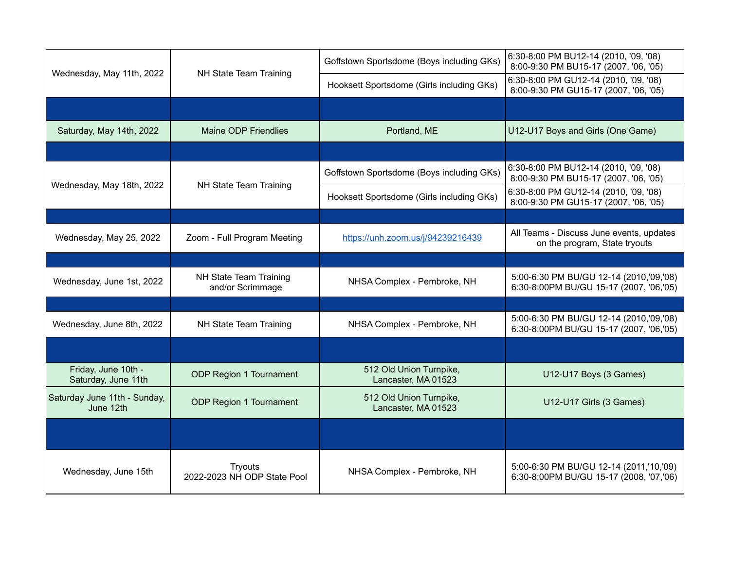| Wednesday, May 11th, 2022                  | NH State Team Training                     | Goffstown Sportsdome (Boys including GKs)      | 6:30-8:00 PM BU12-14 (2010, '09, '08)<br>8:00-9:30 PM BU15-17 (2007, '06, '05)     |
|--------------------------------------------|--------------------------------------------|------------------------------------------------|------------------------------------------------------------------------------------|
|                                            |                                            | Hooksett Sportsdome (Girls including GKs)      | 6:30-8:00 PM GU12-14 (2010, '09, '08)<br>8:00-9:30 PM GU15-17 (2007, '06, '05)     |
|                                            |                                            |                                                |                                                                                    |
| Saturday, May 14th, 2022                   | Maine ODP Friendlies                       | Portland, ME                                   | U12-U17 Boys and Girls (One Game)                                                  |
|                                            |                                            |                                                |                                                                                    |
| Wednesday, May 18th, 2022                  | NH State Team Training                     | Goffstown Sportsdome (Boys including GKs)      | 6:30-8:00 PM BU12-14 (2010, '09, '08)<br>8:00-9:30 PM BU15-17 (2007, '06, '05)     |
|                                            |                                            | Hooksett Sportsdome (Girls including GKs)      | 6:30-8:00 PM GU12-14 (2010, '09, '08)<br>8:00-9:30 PM GU15-17 (2007, '06, '05)     |
|                                            |                                            |                                                |                                                                                    |
| Wednesday, May 25, 2022                    | Zoom - Full Program Meeting                | https://unh.zoom.us/j/94239216439              | All Teams - Discuss June events, updates<br>on the program, State tryouts          |
|                                            |                                            |                                                |                                                                                    |
| Wednesday, June 1st, 2022                  | NH State Team Training<br>and/or Scrimmage | NHSA Complex - Pembroke, NH                    | 5:00-6:30 PM BU/GU 12-14 (2010,'09,'08)<br>6:30-8:00PM BU/GU 15-17 (2007, '06,'05) |
|                                            |                                            |                                                |                                                                                    |
| Wednesday, June 8th, 2022                  | NH State Team Training                     | NHSA Complex - Pembroke, NH                    | 5:00-6:30 PM BU/GU 12-14 (2010,'09,'08)<br>6:30-8:00PM BU/GU 15-17 (2007, '06,'05) |
|                                            |                                            |                                                |                                                                                    |
| Friday, June 10th -<br>Saturday, June 11th | ODP Region 1 Tournament                    | 512 Old Union Turnpike,<br>Lancaster, MA 01523 | U12-U17 Boys (3 Games)                                                             |
| Saturday June 11th - Sunday,<br>June 12th  | ODP Region 1 Tournament                    | 512 Old Union Turnpike,<br>Lancaster, MA 01523 | U12-U17 Girls (3 Games)                                                            |
|                                            |                                            |                                                |                                                                                    |
| Wednesday, June 15th                       | Tryouts<br>2022-2023 NH ODP State Pool     | NHSA Complex - Pembroke, NH                    | 5:00-6:30 PM BU/GU 12-14 (2011,'10,'09)<br>6:30-8:00PM BU/GU 15-17 (2008, '07,'06) |